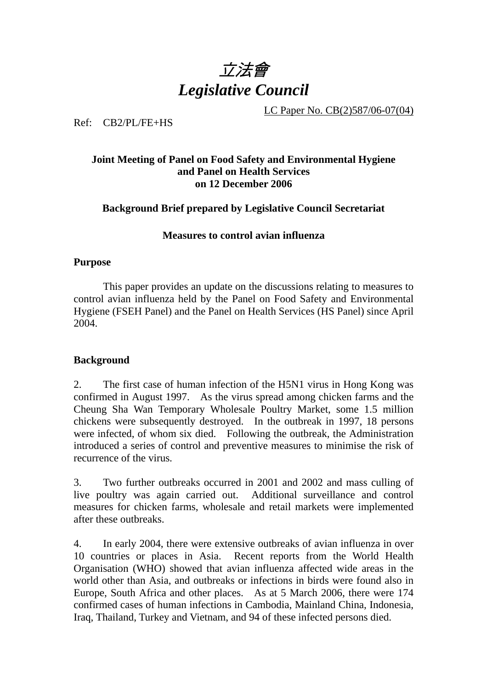

LC Paper No. CB(2)587/06-07(04)

Ref: CB2/PL/FE+HS

# **Joint Meeting of Panel on Food Safety and Environmental Hygiene and Panel on Health Services on 12 December 2006**

**Background Brief prepared by Legislative Council Secretariat** 

## **Measures to control avian influenza**

## **Purpose**

This paper provides an update on the discussions relating to measures to control avian influenza held by the Panel on Food Safety and Environmental Hygiene (FSEH Panel) and the Panel on Health Services (HS Panel) since April 2004.

# **Background**

2. The first case of human infection of the H5N1 virus in Hong Kong was confirmed in August 1997. As the virus spread among chicken farms and the Cheung Sha Wan Temporary Wholesale Poultry Market, some 1.5 million chickens were subsequently destroyed. In the outbreak in 1997, 18 persons were infected, of whom six died. Following the outbreak, the Administration introduced a series of control and preventive measures to minimise the risk of recurrence of the virus.

3. Two further outbreaks occurred in 2001 and 2002 and mass culling of live poultry was again carried out. Additional surveillance and control measures for chicken farms, wholesale and retail markets were implemented after these outbreaks.

4. In early 2004, there were extensive outbreaks of avian influenza in over 10 countries or places in Asia. Recent reports from the World Health Organisation (WHO) showed that avian influenza affected wide areas in the world other than Asia, and outbreaks or infections in birds were found also in Europe, South Africa and other places. As at 5 March 2006, there were 174 confirmed cases of human infections in Cambodia, Mainland China, Indonesia, Iraq, Thailand, Turkey and Vietnam, and 94 of these infected persons died.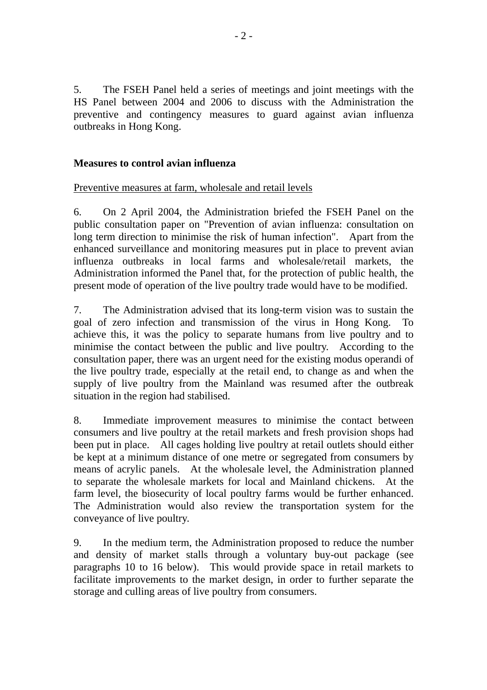5. The FSEH Panel held a series of meetings and joint meetings with the HS Panel between 2004 and 2006 to discuss with the Administration the preventive and contingency measures to guard against avian influenza outbreaks in Hong Kong.

# **Measures to control avian influenza**

## Preventive measures at farm, wholesale and retail levels

6. On 2 April 2004, the Administration briefed the FSEH Panel on the public consultation paper on "Prevention of avian influenza: consultation on long term direction to minimise the risk of human infection". Apart from the enhanced surveillance and monitoring measures put in place to prevent avian influenza outbreaks in local farms and wholesale/retail markets, the Administration informed the Panel that, for the protection of public health, the present mode of operation of the live poultry trade would have to be modified.

7. The Administration advised that its long-term vision was to sustain the goal of zero infection and transmission of the virus in Hong Kong. To achieve this, it was the policy to separate humans from live poultry and to minimise the contact between the public and live poultry. According to the consultation paper, there was an urgent need for the existing modus operandi of the live poultry trade, especially at the retail end, to change as and when the supply of live poultry from the Mainland was resumed after the outbreak situation in the region had stabilised.

8. Immediate improvement measures to minimise the contact between consumers and live poultry at the retail markets and fresh provision shops had been put in place. All cages holding live poultry at retail outlets should either be kept at a minimum distance of one metre or segregated from consumers by means of acrylic panels. At the wholesale level, the Administration planned to separate the wholesale markets for local and Mainland chickens. At the farm level, the biosecurity of local poultry farms would be further enhanced. The Administration would also review the transportation system for the conveyance of live poultry.

9. In the medium term, the Administration proposed to reduce the number and density of market stalls through a voluntary buy-out package (see paragraphs 10 to 16 below). This would provide space in retail markets to facilitate improvements to the market design, in order to further separate the storage and culling areas of live poultry from consumers.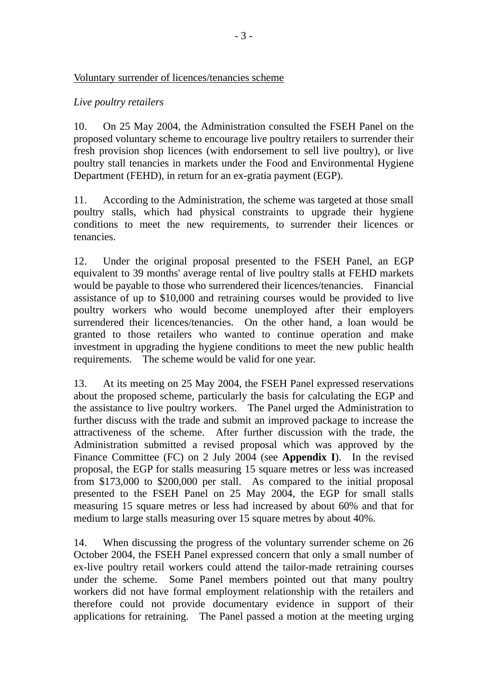### Voluntary surrender of licences/tenancies scheme

# *Live poultry retailers*

10. On 25 May 2004, the Administration consulted the FSEH Panel on the proposed voluntary scheme to encourage live poultry retailers to surrender their fresh provision shop licences (with endorsement to sell live poultry), or live poultry stall tenancies in markets under the Food and Environmental Hygiene Department (FEHD), in return for an ex-gratia payment (EGP).

11. According to the Administration, the scheme was targeted at those small poultry stalls, which had physical constraints to upgrade their hygiene conditions to meet the new requirements, to surrender their licences or tenancies.

12. Under the original proposal presented to the FSEH Panel, an EGP equivalent to 39 months' average rental of live poultry stalls at FEHD markets would be payable to those who surrendered their licences/tenancies. Financial assistance of up to \$10,000 and retraining courses would be provided to live poultry workers who would become unemployed after their employers surrendered their licences/tenancies. On the other hand, a loan would be granted to those retailers who wanted to continue operation and make investment in upgrading the hygiene conditions to meet the new public health requirements. The scheme would be valid for one year.

13. At its meeting on 25 May 2004, the FSEH Panel expressed reservations about the proposed scheme, particularly the basis for calculating the EGP and the assistance to live poultry workers. The Panel urged the Administration to further discuss with the trade and submit an improved package to increase the attractiveness of the scheme. After further discussion with the trade, the Administration submitted a revised proposal which was approved by the Finance Committee (FC) on 2 July 2004 (see **Appendix I**). In the revised proposal, the EGP for stalls measuring 15 square metres or less was increased from \$173,000 to \$200,000 per stall. As compared to the initial proposal presented to the FSEH Panel on 25 May 2004, the EGP for small stalls measuring 15 square metres or less had increased by about 60% and that for medium to large stalls measuring over 15 square metres by about 40%.

14. When discussing the progress of the voluntary surrender scheme on 26 October 2004, the FSEH Panel expressed concern that only a small number of ex-live poultry retail workers could attend the tailor-made retraining courses under the scheme. Some Panel members pointed out that many poultry workers did not have formal employment relationship with the retailers and therefore could not provide documentary evidence in support of their applications for retraining. The Panel passed a motion at the meeting urging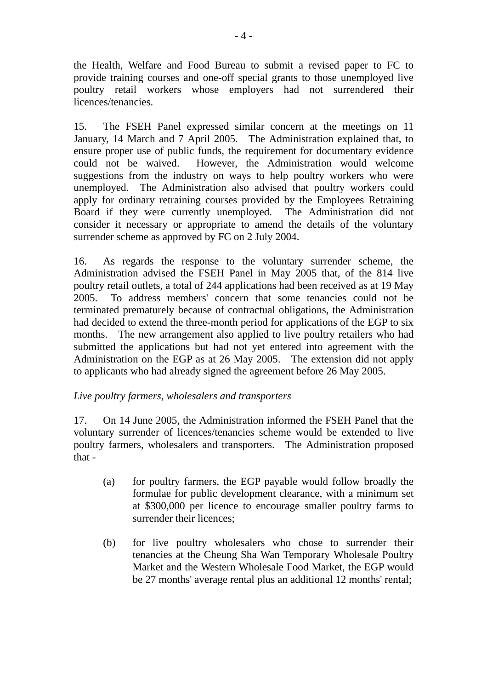the Health, Welfare and Food Bureau to submit a revised paper to FC to provide training courses and one-off special grants to those unemployed live poultry retail workers whose employers had not surrendered their licences/tenancies.

15. The FSEH Panel expressed similar concern at the meetings on 11 January, 14 March and 7 April 2005. The Administration explained that, to ensure proper use of public funds, the requirement for documentary evidence could not be waived. However, the Administration would welcome suggestions from the industry on ways to help poultry workers who were unemployed. The Administration also advised that poultry workers could apply for ordinary retraining courses provided by the Employees Retraining Board if they were currently unemployed. The Administration did not consider it necessary or appropriate to amend the details of the voluntary surrender scheme as approved by FC on 2 July 2004.

16. As regards the response to the voluntary surrender scheme, the Administration advised the FSEH Panel in May 2005 that, of the 814 live poultry retail outlets, a total of 244 applications had been received as at 19 May 2005. To address members' concern that some tenancies could not be terminated prematurely because of contractual obligations, the Administration had decided to extend the three-month period for applications of the EGP to six months. The new arrangement also applied to live poultry retailers who had submitted the applications but had not yet entered into agreement with the Administration on the EGP as at 26 May 2005. The extension did not apply to applicants who had already signed the agreement before 26 May 2005.

# *Live poultry farmers, wholesalers and transporters*

17. On 14 June 2005, the Administration informed the FSEH Panel that the voluntary surrender of licences/tenancies scheme would be extended to live poultry farmers, wholesalers and transporters. The Administration proposed that -

- (a) for poultry farmers, the EGP payable would follow broadly the formulae for public development clearance, with a minimum set at \$300,000 per licence to encourage smaller poultry farms to surrender their licences;
- (b) for live poultry wholesalers who chose to surrender their tenancies at the Cheung Sha Wan Temporary Wholesale Poultry Market and the Western Wholesale Food Market, the EGP would be 27 months' average rental plus an additional 12 months' rental;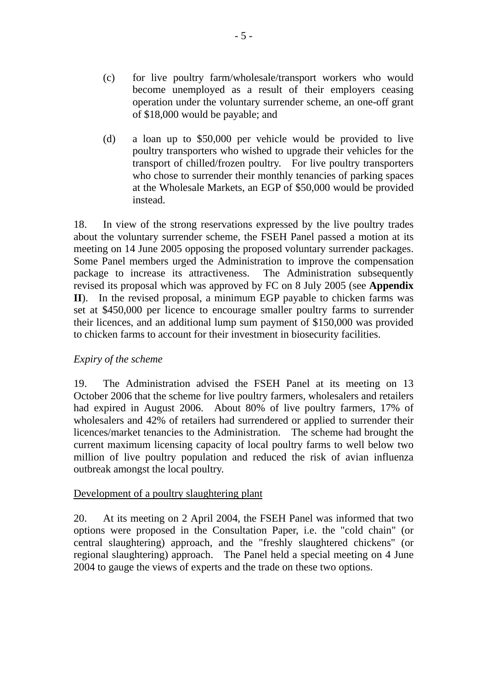- (c) for live poultry farm/wholesale/transport workers who would become unemployed as a result of their employers ceasing operation under the voluntary surrender scheme, an one-off grant of \$18,000 would be payable; and
- (d) a loan up to \$50,000 per vehicle would be provided to live poultry transporters who wished to upgrade their vehicles for the transport of chilled/frozen poultry. For live poultry transporters who chose to surrender their monthly tenancies of parking spaces at the Wholesale Markets, an EGP of \$50,000 would be provided instead.

18. In view of the strong reservations expressed by the live poultry trades about the voluntary surrender scheme, the FSEH Panel passed a motion at its meeting on 14 June 2005 opposing the proposed voluntary surrender packages. Some Panel members urged the Administration to improve the compensation package to increase its attractiveness. The Administration subsequently revised its proposal which was approved by FC on 8 July 2005 (see **Appendix II**). In the revised proposal, a minimum EGP payable to chicken farms was set at \$450,000 per licence to encourage smaller poultry farms to surrender their licences, and an additional lump sum payment of \$150,000 was provided to chicken farms to account for their investment in biosecurity facilities.

# *Expiry of the scheme*

19. The Administration advised the FSEH Panel at its meeting on 13 October 2006 that the scheme for live poultry farmers, wholesalers and retailers had expired in August 2006. About 80% of live poultry farmers, 17% of wholesalers and 42% of retailers had surrendered or applied to surrender their licences/market tenancies to the Administration. The scheme had brought the current maximum licensing capacity of local poultry farms to well below two million of live poultry population and reduced the risk of avian influenza outbreak amongst the local poultry.

# Development of a poultry slaughtering plant

20. At its meeting on 2 April 2004, the FSEH Panel was informed that two options were proposed in the Consultation Paper, i.e. the "cold chain" (or central slaughtering) approach, and the "freshly slaughtered chickens" (or regional slaughtering) approach. The Panel held a special meeting on 4 June 2004 to gauge the views of experts and the trade on these two options.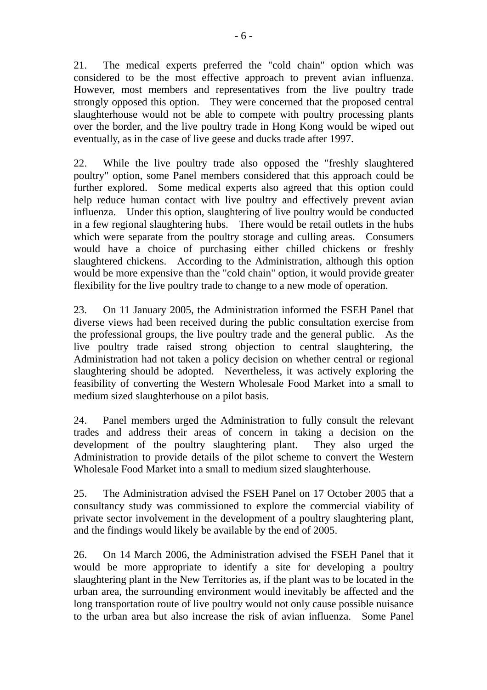21. The medical experts preferred the "cold chain" option which was considered to be the most effective approach to prevent avian influenza. However, most members and representatives from the live poultry trade strongly opposed this option. They were concerned that the proposed central slaughterhouse would not be able to compete with poultry processing plants over the border, and the live poultry trade in Hong Kong would be wiped out eventually, as in the case of live geese and ducks trade after 1997.

22. While the live poultry trade also opposed the "freshly slaughtered poultry" option, some Panel members considered that this approach could be further explored. Some medical experts also agreed that this option could help reduce human contact with live poultry and effectively prevent avian influenza. Under this option, slaughtering of live poultry would be conducted in a few regional slaughtering hubs. There would be retail outlets in the hubs which were separate from the poultry storage and culling areas. Consumers would have a choice of purchasing either chilled chickens or freshly slaughtered chickens. According to the Administration, although this option would be more expensive than the "cold chain" option, it would provide greater flexibility for the live poultry trade to change to a new mode of operation.

23. On 11 January 2005, the Administration informed the FSEH Panel that diverse views had been received during the public consultation exercise from the professional groups, the live poultry trade and the general public. As the live poultry trade raised strong objection to central slaughtering, the Administration had not taken a policy decision on whether central or regional slaughtering should be adopted. Nevertheless, it was actively exploring the feasibility of converting the Western Wholesale Food Market into a small to medium sized slaughterhouse on a pilot basis.

24. Panel members urged the Administration to fully consult the relevant trades and address their areas of concern in taking a decision on the development of the poultry slaughtering plant. They also urged the Administration to provide details of the pilot scheme to convert the Western Wholesale Food Market into a small to medium sized slaughterhouse.

25. The Administration advised the FSEH Panel on 17 October 2005 that a consultancy study was commissioned to explore the commercial viability of private sector involvement in the development of a poultry slaughtering plant, and the findings would likely be available by the end of 2005.

26. On 14 March 2006, the Administration advised the FSEH Panel that it would be more appropriate to identify a site for developing a poultry slaughtering plant in the New Territories as, if the plant was to be located in the urban area, the surrounding environment would inevitably be affected and the long transportation route of live poultry would not only cause possible nuisance to the urban area but also increase the risk of avian influenza. Some Panel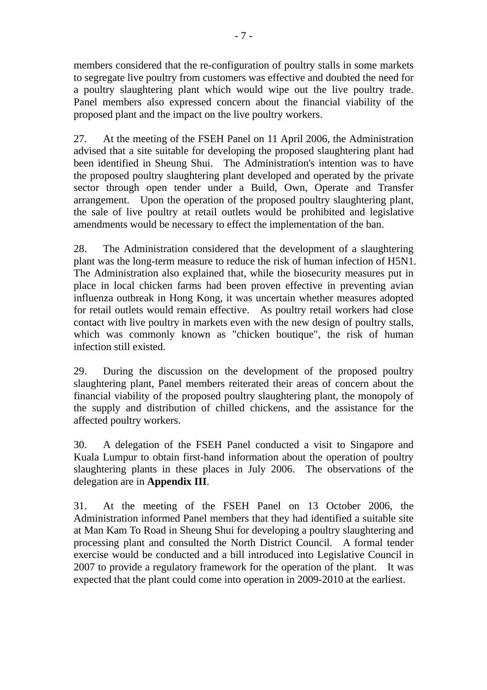members considered that the re-configuration of poultry stalls in some markets to segregate live poultry from customers was effective and doubted the need for a poultry slaughtering plant which would wipe out the live poultry trade. Panel members also expressed concern about the financial viability of the proposed plant and the impact on the live poultry workers.

27. At the meeting of the FSEH Panel on 11 April 2006, the Administration advised that a site suitable for developing the proposed slaughtering plant had been identified in Sheung Shui. The Administration's intention was to have the proposed poultry slaughtering plant developed and operated by the private sector through open tender under a Build, Own, Operate and Transfer arrangement. Upon the operation of the proposed poultry slaughtering plant, the sale of live poultry at retail outlets would be prohibited and legislative amendments would be necessary to effect the implementation of the ban.

28. The Administration considered that the development of a slaughtering plant was the long-term measure to reduce the risk of human infection of H5N1. The Administration also explained that, while the biosecurity measures put in place in local chicken farms had been proven effective in preventing avian influenza outbreak in Hong Kong, it was uncertain whether measures adopted for retail outlets would remain effective. As poultry retail workers had close contact with live poultry in markets even with the new design of poultry stalls, which was commonly known as "chicken boutique", the risk of human infection still existed.

29. During the discussion on the development of the proposed poultry slaughtering plant, Panel members reiterated their areas of concern about the financial viability of the proposed poultry slaughtering plant, the monopoly of the supply and distribution of chilled chickens, and the assistance for the affected poultry workers.

30. A delegation of the FSEH Panel conducted a visit to Singapore and Kuala Lumpur to obtain first-hand information about the operation of poultry slaughtering plants in these places in July 2006. The observations of the delegation are in **Appendix III**.

31. At the meeting of the FSEH Panel on 13 October 2006, the Administration informed Panel members that they had identified a suitable site at Man Kam To Road in Sheung Shui for developing a poultry slaughtering and processing plant and consulted the North District Council. A formal tender exercise would be conducted and a bill introduced into Legislative Council in 2007 to provide a regulatory framework for the operation of the plant. It was expected that the plant could come into operation in 2009-2010 at the earliest.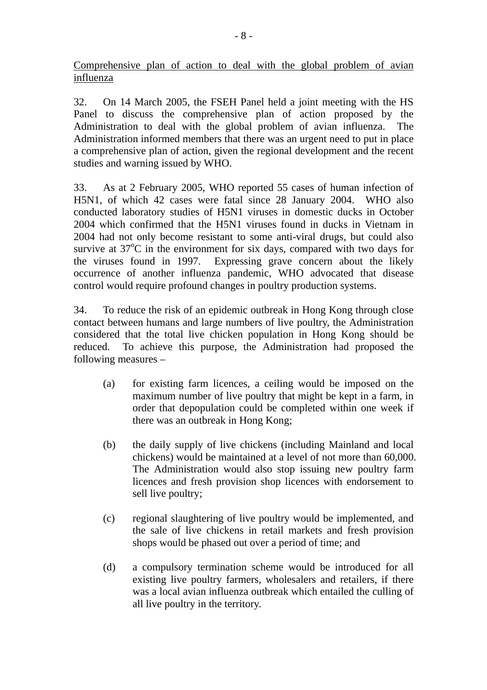Comprehensive plan of action to deal with the global problem of avian influenza

32. On 14 March 2005, the FSEH Panel held a joint meeting with the HS Panel to discuss the comprehensive plan of action proposed by the Administration to deal with the global problem of avian influenza. The Administration informed members that there was an urgent need to put in place a comprehensive plan of action, given the regional development and the recent studies and warning issued by WHO.

33. As at 2 February 2005, WHO reported 55 cases of human infection of H5N1, of which 42 cases were fatal since 28 January 2004. WHO also conducted laboratory studies of H5N1 viruses in domestic ducks in October 2004 which confirmed that the H5N1 viruses found in ducks in Vietnam in 2004 had not only become resistant to some anti-viral drugs, but could also survive at  $37^{\circ}$ C in the environment for six days, compared with two days for the viruses found in 1997. Expressing grave concern about the likely occurrence of another influenza pandemic, WHO advocated that disease control would require profound changes in poultry production systems.

34. To reduce the risk of an epidemic outbreak in Hong Kong through close contact between humans and large numbers of live poultry, the Administration considered that the total live chicken population in Hong Kong should be reduced. To achieve this purpose, the Administration had proposed the following measures –

- (a) for existing farm licences, a ceiling would be imposed on the maximum number of live poultry that might be kept in a farm, in order that depopulation could be completed within one week if there was an outbreak in Hong Kong;
- (b) the daily supply of live chickens (including Mainland and local chickens) would be maintained at a level of not more than 60,000. The Administration would also stop issuing new poultry farm licences and fresh provision shop licences with endorsement to sell live poultry;
- (c) regional slaughtering of live poultry would be implemented, and the sale of live chickens in retail markets and fresh provision shops would be phased out over a period of time; and
- (d) a compulsory termination scheme would be introduced for all existing live poultry farmers, wholesalers and retailers, if there was a local avian influenza outbreak which entailed the culling of all live poultry in the territory.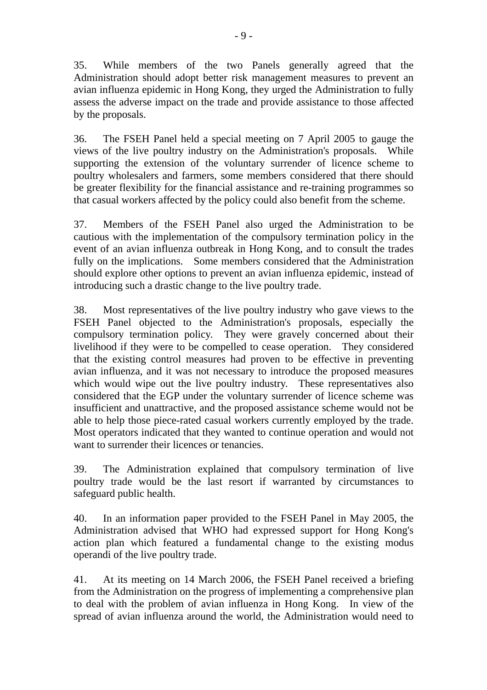35. While members of the two Panels generally agreed that the Administration should adopt better risk management measures to prevent an avian influenza epidemic in Hong Kong, they urged the Administration to fully assess the adverse impact on the trade and provide assistance to those affected by the proposals.

36. The FSEH Panel held a special meeting on 7 April 2005 to gauge the views of the live poultry industry on the Administration's proposals. While supporting the extension of the voluntary surrender of licence scheme to poultry wholesalers and farmers, some members considered that there should be greater flexibility for the financial assistance and re-training programmes so that casual workers affected by the policy could also benefit from the scheme.

37. Members of the FSEH Panel also urged the Administration to be cautious with the implementation of the compulsory termination policy in the event of an avian influenza outbreak in Hong Kong, and to consult the trades fully on the implications. Some members considered that the Administration should explore other options to prevent an avian influenza epidemic, instead of introducing such a drastic change to the live poultry trade.

38. Most representatives of the live poultry industry who gave views to the FSEH Panel objected to the Administration's proposals, especially the compulsory termination policy. They were gravely concerned about their livelihood if they were to be compelled to cease operation. They considered that the existing control measures had proven to be effective in preventing avian influenza, and it was not necessary to introduce the proposed measures which would wipe out the live poultry industry. These representatives also considered that the EGP under the voluntary surrender of licence scheme was insufficient and unattractive, and the proposed assistance scheme would not be able to help those piece-rated casual workers currently employed by the trade. Most operators indicated that they wanted to continue operation and would not want to surrender their licences or tenancies.

39. The Administration explained that compulsory termination of live poultry trade would be the last resort if warranted by circumstances to safeguard public health.

40. In an information paper provided to the FSEH Panel in May 2005, the Administration advised that WHO had expressed support for Hong Kong's action plan which featured a fundamental change to the existing modus operandi of the live poultry trade.

41. At its meeting on 14 March 2006, the FSEH Panel received a briefing from the Administration on the progress of implementing a comprehensive plan to deal with the problem of avian influenza in Hong Kong. In view of the spread of avian influenza around the world, the Administration would need to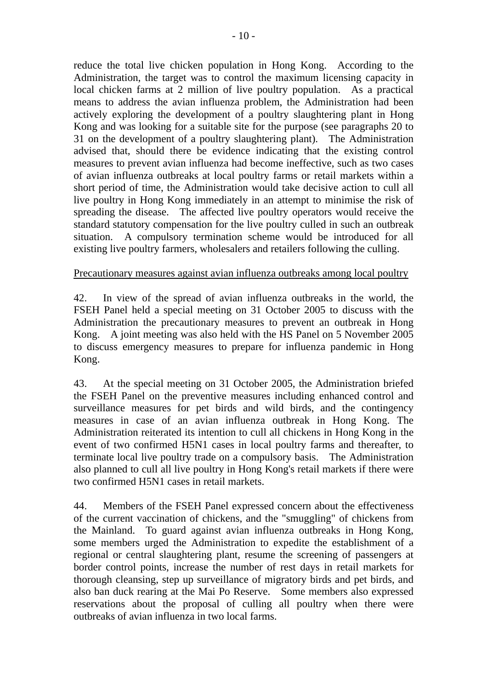reduce the total live chicken population in Hong Kong. According to the Administration, the target was to control the maximum licensing capacity in local chicken farms at 2 million of live poultry population. As a practical means to address the avian influenza problem, the Administration had been actively exploring the development of a poultry slaughtering plant in Hong Kong and was looking for a suitable site for the purpose (see paragraphs 20 to 31 on the development of a poultry slaughtering plant). The Administration advised that, should there be evidence indicating that the existing control measures to prevent avian influenza had become ineffective, such as two cases of avian influenza outbreaks at local poultry farms or retail markets within a short period of time, the Administration would take decisive action to cull all live poultry in Hong Kong immediately in an attempt to minimise the risk of spreading the disease. The affected live poultry operators would receive the standard statutory compensation for the live poultry culled in such an outbreak situation. A compulsory termination scheme would be introduced for all existing live poultry farmers, wholesalers and retailers following the culling.

## Precautionary measures against avian influenza outbreaks among local poultry

42. In view of the spread of avian influenza outbreaks in the world, the FSEH Panel held a special meeting on 31 October 2005 to discuss with the Administration the precautionary measures to prevent an outbreak in Hong Kong. A joint meeting was also held with the HS Panel on 5 November 2005 to discuss emergency measures to prepare for influenza pandemic in Hong Kong.

43. At the special meeting on 31 October 2005, the Administration briefed the FSEH Panel on the preventive measures including enhanced control and surveillance measures for pet birds and wild birds, and the contingency measures in case of an avian influenza outbreak in Hong Kong. The Administration reiterated its intention to cull all chickens in Hong Kong in the event of two confirmed H5N1 cases in local poultry farms and thereafter, to terminate local live poultry trade on a compulsory basis. The Administration also planned to cull all live poultry in Hong Kong's retail markets if there were two confirmed H5N1 cases in retail markets.

44. Members of the FSEH Panel expressed concern about the effectiveness of the current vaccination of chickens, and the "smuggling" of chickens from the Mainland. To guard against avian influenza outbreaks in Hong Kong, some members urged the Administration to expedite the establishment of a regional or central slaughtering plant, resume the screening of passengers at border control points, increase the number of rest days in retail markets for thorough cleansing, step up surveillance of migratory birds and pet birds, and also ban duck rearing at the Mai Po Reserve. Some members also expressed reservations about the proposal of culling all poultry when there were outbreaks of avian influenza in two local farms.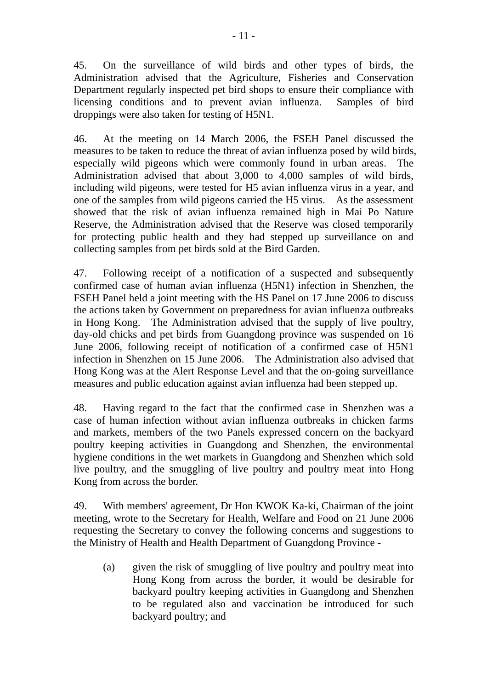45. On the surveillance of wild birds and other types of birds, the Administration advised that the Agriculture, Fisheries and Conservation Department regularly inspected pet bird shops to ensure their compliance with licensing conditions and to prevent avian influenza. Samples of bird droppings were also taken for testing of H5N1.

46. At the meeting on 14 March 2006, the FSEH Panel discussed the measures to be taken to reduce the threat of avian influenza posed by wild birds, especially wild pigeons which were commonly found in urban areas. The Administration advised that about 3,000 to 4,000 samples of wild birds, including wild pigeons, were tested for H5 avian influenza virus in a year, and one of the samples from wild pigeons carried the H5 virus. As the assessment showed that the risk of avian influenza remained high in Mai Po Nature Reserve, the Administration advised that the Reserve was closed temporarily for protecting public health and they had stepped up surveillance on and collecting samples from pet birds sold at the Bird Garden.

47. Following receipt of a notification of a suspected and subsequently confirmed case of human avian influenza (H5N1) infection in Shenzhen, the FSEH Panel held a joint meeting with the HS Panel on 17 June 2006 to discuss the actions taken by Government on preparedness for avian influenza outbreaks in Hong Kong. The Administration advised that the supply of live poultry, day-old chicks and pet birds from Guangdong province was suspended on 16 June 2006, following receipt of notification of a confirmed case of H5N1 infection in Shenzhen on 15 June 2006. The Administration also advised that Hong Kong was at the Alert Response Level and that the on-going surveillance measures and public education against avian influenza had been stepped up.

48. Having regard to the fact that the confirmed case in Shenzhen was a case of human infection without avian influenza outbreaks in chicken farms and markets, members of the two Panels expressed concern on the backyard poultry keeping activities in Guangdong and Shenzhen, the environmental hygiene conditions in the wet markets in Guangdong and Shenzhen which sold live poultry, and the smuggling of live poultry and poultry meat into Hong Kong from across the border.

49. With members' agreement, Dr Hon KWOK Ka-ki, Chairman of the joint meeting, wrote to the Secretary for Health, Welfare and Food on 21 June 2006 requesting the Secretary to convey the following concerns and suggestions to the Ministry of Health and Health Department of Guangdong Province -

(a) given the risk of smuggling of live poultry and poultry meat into Hong Kong from across the border, it would be desirable for backyard poultry keeping activities in Guangdong and Shenzhen to be regulated also and vaccination be introduced for such backyard poultry; and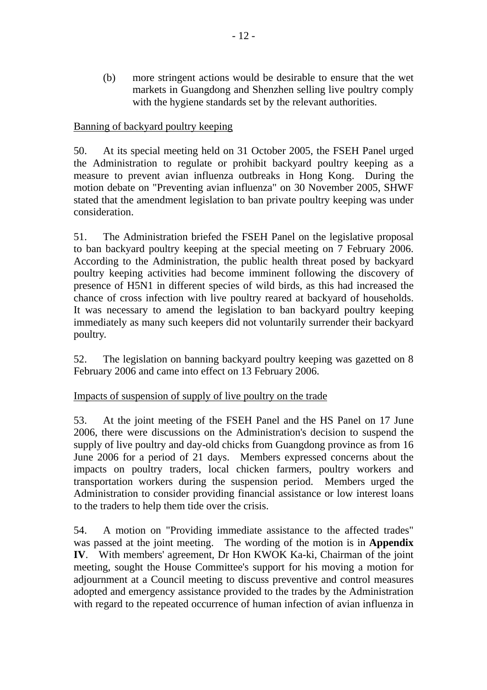(b) more stringent actions would be desirable to ensure that the wet markets in Guangdong and Shenzhen selling live poultry comply with the hygiene standards set by the relevant authorities.

# Banning of backyard poultry keeping

50. At its special meeting held on 31 October 2005, the FSEH Panel urged the Administration to regulate or prohibit backyard poultry keeping as a measure to prevent avian influenza outbreaks in Hong Kong. During the motion debate on "Preventing avian influenza" on 30 November 2005, SHWF stated that the amendment legislation to ban private poultry keeping was under consideration.

51. The Administration briefed the FSEH Panel on the legislative proposal to ban backyard poultry keeping at the special meeting on 7 February 2006. According to the Administration, the public health threat posed by backyard poultry keeping activities had become imminent following the discovery of presence of H5N1 in different species of wild birds, as this had increased the chance of cross infection with live poultry reared at backyard of households. It was necessary to amend the legislation to ban backyard poultry keeping immediately as many such keepers did not voluntarily surrender their backyard poultry.

52. The legislation on banning backyard poultry keeping was gazetted on 8 February 2006 and came into effect on 13 February 2006.

# Impacts of suspension of supply of live poultry on the trade

53. At the joint meeting of the FSEH Panel and the HS Panel on 17 June 2006, there were discussions on the Administration's decision to suspend the supply of live poultry and day-old chicks from Guangdong province as from 16 June 2006 for a period of 21 days. Members expressed concerns about the impacts on poultry traders, local chicken farmers, poultry workers and transportation workers during the suspension period. Members urged the Administration to consider providing financial assistance or low interest loans to the traders to help them tide over the crisis.

54. A motion on "Providing immediate assistance to the affected trades" was passed at the joint meeting. The wording of the motion is in **Appendix IV**. With members' agreement, Dr Hon KWOK Ka-ki, Chairman of the joint meeting, sought the House Committee's support for his moving a motion for adjournment at a Council meeting to discuss preventive and control measures adopted and emergency assistance provided to the trades by the Administration with regard to the repeated occurrence of human infection of avian influenza in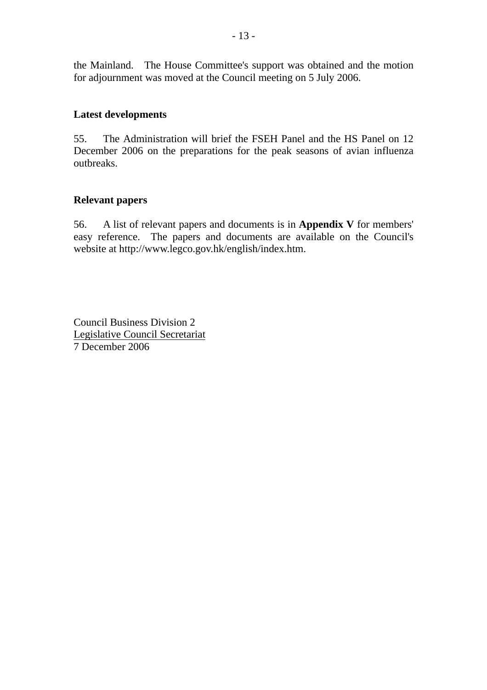the Mainland. The House Committee's support was obtained and the motion for adjournment was moved at the Council meeting on 5 July 2006.

### **Latest developments**

55. The Administration will brief the FSEH Panel and the HS Panel on 12 December 2006 on the preparations for the peak seasons of avian influenza outbreaks.

## **Relevant papers**

56. A list of relevant papers and documents is in **Appendix V** for members' easy reference. The papers and documents are available on the Council's website at http://www.legco.gov.hk/english/index.htm.

Council Business Division 2 Legislative Council Secretariat 7 December 2006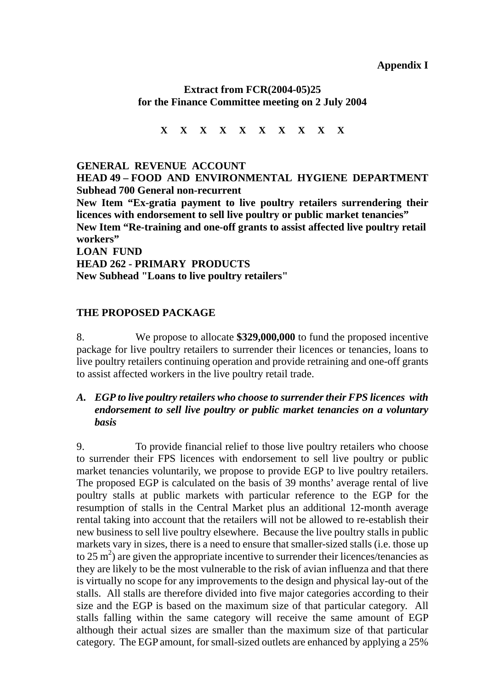**Appendix I** 

# **Extract from FCR(2004-05)25 for the Finance Committee meeting on 2 July 2004**

**X X X X X X X X X X** 

**GENERAL REVENUE ACCOUNT HEAD 49 – FOOD AND ENVIRONMENTAL HYGIENE DEPARTMENT Subhead 700 General non-recurrent New Item "Ex-gratia payment to live poultry retailers surrendering their licences with endorsement to sell live poultry or public market tenancies" New Item "Re-training and one-off grants to assist affected live poultry retail workers" LOAN FUND HEAD 262 - PRIMARY PRODUCTS New Subhead "Loans to live poultry retailers"**

# **THE PROPOSED PACKAGE**

8. We propose to allocate **\$329,000,000** to fund the proposed incentive package for live poultry retailers to surrender their licences or tenancies, loans to live poultry retailers continuing operation and provide retraining and one-off grants to assist affected workers in the live poultry retail trade.

# *A. EGP to live poultry retailers who choose to surrender their FPS licences with endorsement to sell live poultry or public market tenancies on a voluntary basis*

9. To provide financial relief to those live poultry retailers who choose to surrender their FPS licences with endorsement to sell live poultry or public market tenancies voluntarily, we propose to provide EGP to live poultry retailers. The proposed EGP is calculated on the basis of 39 months' average rental of live poultry stalls at public markets with particular reference to the EGP for the resumption of stalls in the Central Market plus an additional 12-month average rental taking into account that the retailers will not be allowed to re-establish their new business to sell live poultry elsewhere. Because the live poultry stalls in public markets vary in sizes, there is a need to ensure that smaller-sized stalls (i.e. those up to 25 m<sup>2</sup>) are given the appropriate incentive to surrender their licences/tenancies as they are likely to be the most vulnerable to the risk of avian influenza and that there is virtually no scope for any improvements to the design and physical lay-out of the stalls. All stalls are therefore divided into five major categories according to their size and the EGP is based on the maximum size of that particular category. All stalls falling within the same category will receive the same amount of EGP although their actual sizes are smaller than the maximum size of that particular category. The EGP amount, for small-sized outlets are enhanced by applying a 25%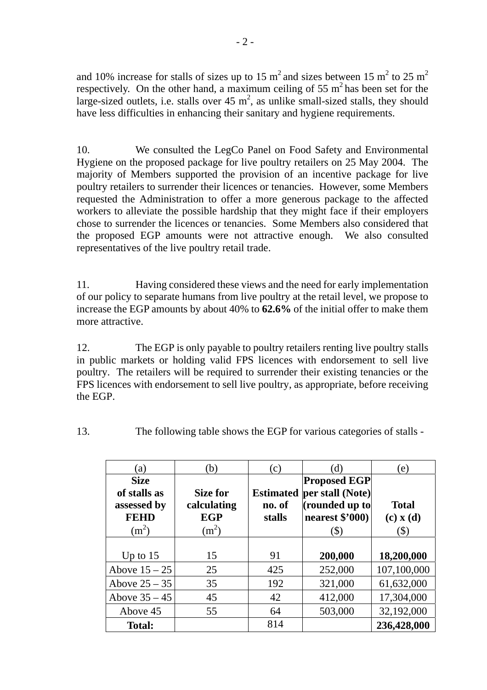and 10% increase for stalls of sizes up to 15 m<sup>2</sup> and sizes between 15 m<sup>2</sup> to 25 m<sup>2</sup> respectively. On the other hand, a maximum ceiling of 55  $m<sup>2</sup>$  has been set for the large-sized outlets, i.e. stalls over  $45 \text{ m}^2$ , as unlike small-sized stalls, they should have less difficulties in enhancing their sanitary and hygiene requirements.

10. We consulted the LegCo Panel on Food Safety and Environmental Hygiene on the proposed package for live poultry retailers on 25 May 2004. The majority of Members supported the provision of an incentive package for live poultry retailers to surrender their licences or tenancies. However, some Members requested the Administration to offer a more generous package to the affected workers to alleviate the possible hardship that they might face if their employers chose to surrender the licences or tenancies. Some Members also considered that the proposed EGP amounts were not attractive enough. We also consulted representatives of the live poultry retail trade.

11. Having considered these views and the need for early implementation of our policy to separate humans from live poultry at the retail level, we propose to increase the EGP amounts by about 40% to **62.6%** of the initial offer to make them more attractive.

12. The EGP is only payable to poultry retailers renting live poultry stalls in public markets or holding valid FPS licences with endorsement to sell live poultry. The retailers will be required to surrender their existing tenancies or the FPS licences with endorsement to sell live poultry, as appropriate, before receiving the EGP.

13. The following table shows the EGP for various categories of stalls -

| (a)                                                                  | (b)                                              | $\rm(c)$                             | (d)                                                                                  | (e)                                           |
|----------------------------------------------------------------------|--------------------------------------------------|--------------------------------------|--------------------------------------------------------------------------------------|-----------------------------------------------|
| <b>Size</b><br>of stalls as<br>assessed by<br><b>FEHD</b><br>$(m^2)$ | Size for<br>calculating<br><b>EGP</b><br>$(m^2)$ | <b>Estimated</b><br>no. of<br>stalls | <b>Proposed EGP</b><br>per stall (Note)<br>(rounded up to<br>nearest $$'000$<br>(\$) | <b>Total</b><br>$(c)$ x $(d)$<br>$\mathbb S)$ |
| Up to $15$                                                           | 15                                               | 91                                   | 200,000                                                                              | 18,200,000                                    |
| Above $15 - 25$                                                      | 25                                               | 425                                  | 252,000                                                                              | 107,100,000                                   |
| Above $25 - 35$                                                      | 35                                               | 192                                  | 321,000                                                                              | 61,632,000                                    |
| Above $35 - 45$                                                      | 45                                               | 42                                   | 412,000                                                                              | 17,304,000                                    |
| Above 45                                                             | 55                                               | 64                                   | 503,000                                                                              | 32,192,000                                    |
| <b>Total:</b>                                                        |                                                  | 814                                  |                                                                                      | 236,428,000                                   |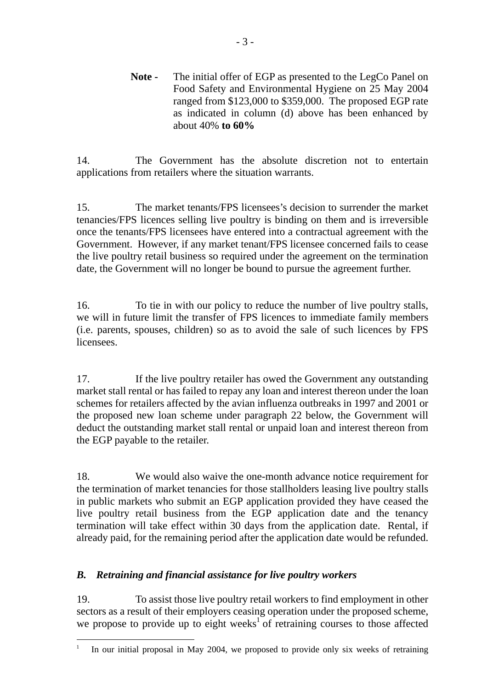**Note -** The initial offer of EGP as presented to the LegCo Panel on Food Safety and Environmental Hygiene on 25 May 2004 ranged from \$123,000 to \$359,000. The proposed EGP rate as indicated in column (d) above has been enhanced by about 40% **to 60%**

14. The Government has the absolute discretion not to entertain applications from retailers where the situation warrants.

15. The market tenants/FPS licensees's decision to surrender the market tenancies/FPS licences selling live poultry is binding on them and is irreversible once the tenants/FPS licensees have entered into a contractual agreement with the Government. However, if any market tenant/FPS licensee concerned fails to cease the live poultry retail business so required under the agreement on the termination date, the Government will no longer be bound to pursue the agreement further.

16. To tie in with our policy to reduce the number of live poultry stalls, we will in future limit the transfer of FPS licences to immediate family members (i.e. parents, spouses, children) so as to avoid the sale of such licences by FPS licensees.

17. If the live poultry retailer has owed the Government any outstanding market stall rental or has failed to repay any loan and interest thereon under the loan schemes for retailers affected by the avian influenza outbreaks in 1997 and 2001 or the proposed new loan scheme under paragraph 22 below, the Government will deduct the outstanding market stall rental or unpaid loan and interest thereon from the EGP payable to the retailer.

18. We would also waive the one-month advance notice requirement for the termination of market tenancies for those stallholders leasing live poultry stalls in public markets who submit an EGP application provided they have ceased the live poultry retail business from the EGP application date and the tenancy termination will take effect within 30 days from the application date. Rental, if already paid, for the remaining period after the application date would be refunded.

# *B. Retraining and financial assistance for live poultry workers*

19. To assist those live poultry retail workers to find employment in other sectors as a result of their employers ceasing operation under the proposed scheme, we propose to provide up to eight weeks<sup>1</sup> of retraining courses to those affected

 $\overline{a}$ 1 In our initial proposal in May 2004, we proposed to provide only six weeks of retraining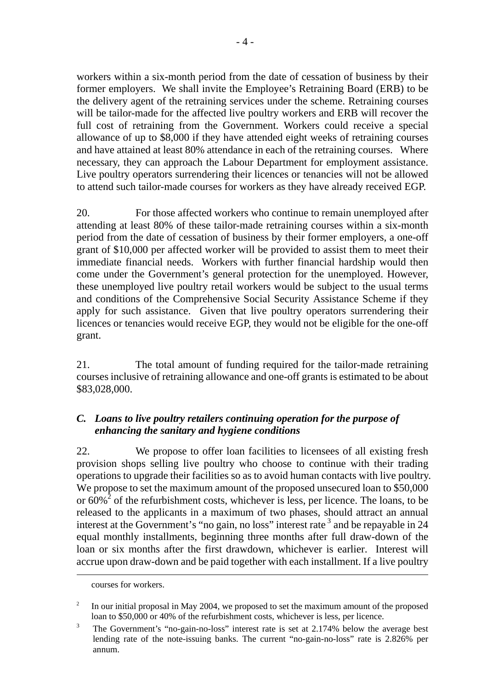workers within a six-month period from the date of cessation of business by their former employers. We shall invite the Employee's Retraining Board (ERB) to be the delivery agent of the retraining services under the scheme. Retraining courses will be tailor-made for the affected live poultry workers and ERB will recover the full cost of retraining from the Government. Workers could receive a special allowance of up to \$8,000 if they have attended eight weeks of retraining courses and have attained at least 80% attendance in each of the retraining courses. Where necessary, they can approach the Labour Department for employment assistance. Live poultry operators surrendering their licences or tenancies will not be allowed to attend such tailor-made courses for workers as they have already received EGP.

20. For those affected workers who continue to remain unemployed after attending at least 80% of these tailor-made retraining courses within a six-month period from the date of cessation of business by their former employers, a one-off grant of \$10,000 per affected worker will be provided to assist them to meet their immediate financial needs. Workers with further financial hardship would then come under the Government's general protection for the unemployed. However, these unemployed live poultry retail workers would be subject to the usual terms and conditions of the Comprehensive Social Security Assistance Scheme if they apply for such assistance. Given that live poultry operators surrendering their licences or tenancies would receive EGP, they would not be eligible for the one-off grant.

21. The total amount of funding required for the tailor-made retraining courses inclusive of retraining allowance and one-off grants is estimated to be about \$83,028,000.

# *C. Loans to live poultry retailers continuing operation for the purpose of enhancing the sanitary and hygiene conditions*

22. We propose to offer loan facilities to licensees of all existing fresh provision shops selling live poultry who choose to continue with their trading operations to upgrade their facilities so as to avoid human contacts with live poultry. We propose to set the maximum amount of the proposed unsecured loan to \$50,000 or  $60\%$ <sup>2</sup> of the refurbishment costs, whichever is less, per licence. The loans, to be released to the applicants in a maximum of two phases, should attract an annual interest at the Government's "no gain, no loss" interest rate 3 and be repayable in 24 equal monthly installments, beginning three months after full draw-down of the loan or six months after the first drawdown, whichever is earlier. Interest will accrue upon draw-down and be paid together with each installment. If a live poultry

 $\overline{a}$ 

courses for workers.

<sup>2</sup> In our initial proposal in May 2004, we proposed to set the maximum amount of the proposed loan to \$50,000 or 40% of the refurbishment costs, whichever is less, per licence.

<sup>&</sup>lt;sup>3</sup> The Government's "no-gain-no-loss" interest rate is set at 2.174% below the average best lending rate of the note-issuing banks. The current "no-gain-no-loss" rate is 2.826% per annum.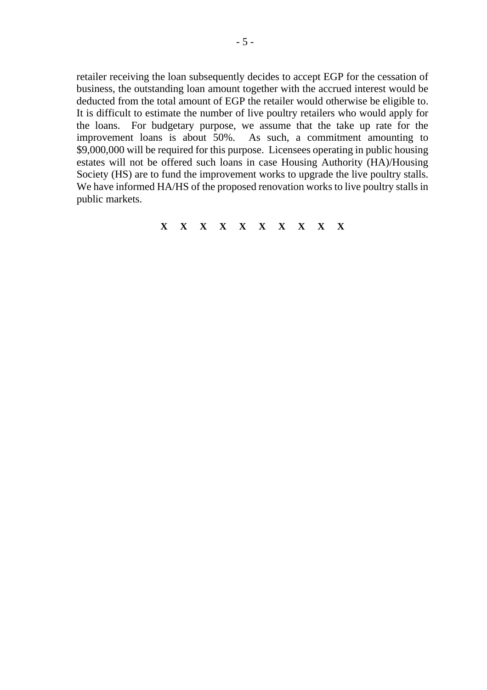retailer receiving the loan subsequently decides to accept EGP for the cessation of business, the outstanding loan amount together with the accrued interest would be deducted from the total amount of EGP the retailer would otherwise be eligible to. It is difficult to estimate the number of live poultry retailers who would apply for the loans. For budgetary purpose, we assume that the take up rate for the improvement loans is about 50%. As such, a commitment amounting to \$9,000,000 will be required for this purpose. Licensees operating in public housing estates will not be offered such loans in case Housing Authority (HA)/Housing Society (HS) are to fund the improvement works to upgrade the live poultry stalls. We have informed HA/HS of the proposed renovation works to live poultry stalls in public markets.

**X X X X X X X X X X**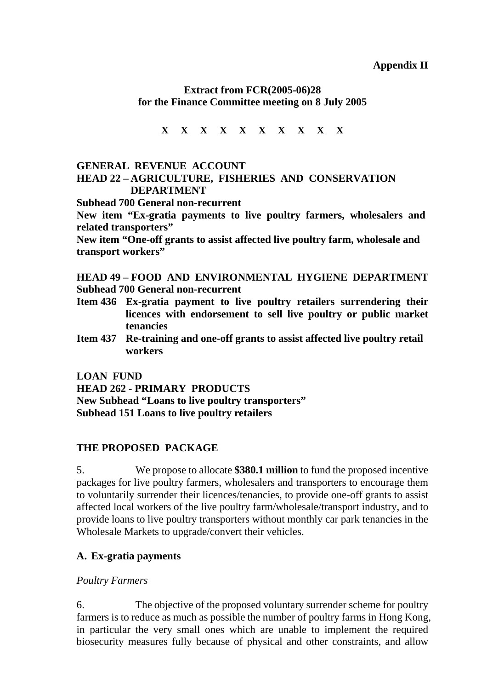# **Extract from FCR(2005-06)28 for the Finance Committee meeting on 8 July 2005**

**X X X X X X X X X X** 

### **GENERAL REVENUE ACCOUNT HEAD 22 – AGRICULTURE, FISHERIES AND CONSERVATION DEPARTMENT**

**Subhead 700 General non-recurrent** 

**New item "Ex-gratia payments to live poultry farmers, wholesalers and related transporters"** 

**New item "One-off grants to assist affected live poultry farm, wholesale and transport workers"** 

**HEAD 49 – FOOD AND ENVIRONMENTAL HYGIENE DEPARTMENT Subhead 700 General non-recurrent** 

- **Item 436 Ex-gratia payment to live poultry retailers surrendering their licences with endorsement to sell live poultry or public market tenancies**
- **Item 437 Re-training and one-off grants to assist affected live poultry retail workers**

**LOAN FUND** 

**HEAD 262 - PRIMARY PRODUCTS New Subhead "Loans to live poultry transporters" Subhead 151 Loans to live poultry retailers**

# **THE PROPOSED PACKAGE**

5. We propose to allocate **\$380.1 million** to fund the proposed incentive packages for live poultry farmers, wholesalers and transporters to encourage them to voluntarily surrender their licences/tenancies, to provide one-off grants to assist affected local workers of the live poultry farm/wholesale/transport industry, and to provide loans to live poultry transporters without monthly car park tenancies in the Wholesale Markets to upgrade/convert their vehicles.

# **A. Ex-gratia payments**

# *Poultry Farmers*

6. The objective of the proposed voluntary surrender scheme for poultry farmers is to reduce as much as possible the number of poultry farms in Hong Kong, in particular the very small ones which are unable to implement the required biosecurity measures fully because of physical and other constraints, and allow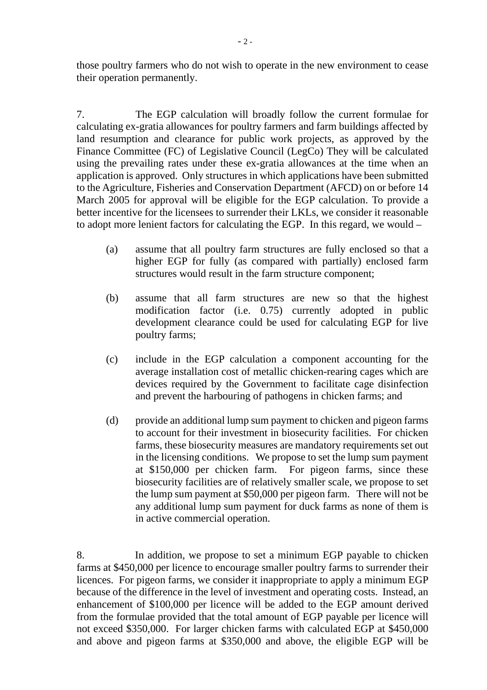those poultry farmers who do not wish to operate in the new environment to cease their operation permanently.

7. The EGP calculation will broadly follow the current formulae for calculating ex-gratia allowances for poultry farmers and farm buildings affected by land resumption and clearance for public work projects, as approved by the Finance Committee (FC) of Legislative Council (LegCo) They will be calculated using the prevailing rates under these ex-gratia allowances at the time when an application is approved. Only structures in which applications have been submitted to the Agriculture, Fisheries and Conservation Department (AFCD) on or before 14 March 2005 for approval will be eligible for the EGP calculation. To provide a better incentive for the licensees to surrender their LKLs, we consider it reasonable to adopt more lenient factors for calculating the EGP. In this regard, we would –

- (a) assume that all poultry farm structures are fully enclosed so that a higher EGP for fully (as compared with partially) enclosed farm structures would result in the farm structure component;
- (b) assume that all farm structures are new so that the highest modification factor (i.e. 0.75) currently adopted in public development clearance could be used for calculating EGP for live poultry farms;
- (c) include in the EGP calculation a component accounting for the average installation cost of metallic chicken-rearing cages which are devices required by the Government to facilitate cage disinfection and prevent the harbouring of pathogens in chicken farms; and
- (d) provide an additional lump sum payment to chicken and pigeon farms to account for their investment in biosecurity facilities. For chicken farms, these biosecurity measures are mandatory requirements set out in the licensing conditions. We propose to set the lump sum payment at \$150,000 per chicken farm. For pigeon farms, since these biosecurity facilities are of relatively smaller scale, we propose to set the lump sum payment at \$50,000 per pigeon farm. There will not be any additional lump sum payment for duck farms as none of them is in active commercial operation.

<sup>8.</sup> In addition, we propose to set a minimum EGP payable to chicken farms at \$450,000 per licence to encourage smaller poultry farms to surrender their licences. For pigeon farms, we consider it inappropriate to apply a minimum EGP because of the difference in the level of investment and operating costs. Instead, an enhancement of \$100,000 per licence will be added to the EGP amount derived from the formulae provided that the total amount of EGP payable per licence will not exceed \$350,000. For larger chicken farms with calculated EGP at \$450,000 and above and pigeon farms at \$350,000 and above, the eligible EGP will be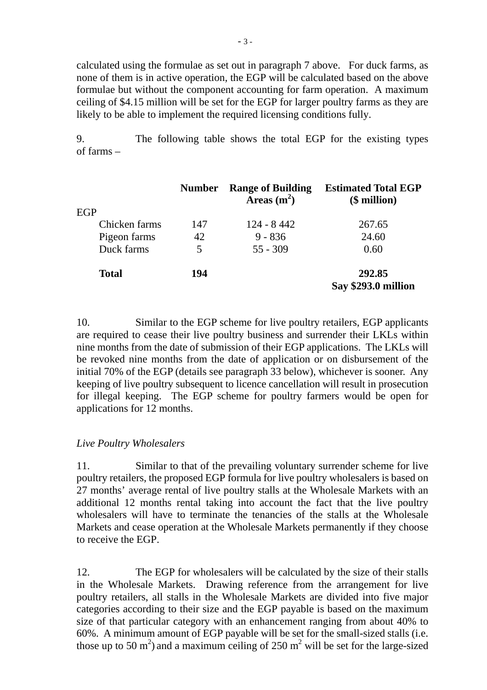calculated using the formulae as set out in paragraph 7 above. For duck farms, as none of them is in active operation, the EGP will be calculated based on the above formulae but without the component accounting for farm operation. A maximum ceiling of \$4.15 million will be set for the EGP for larger poultry farms as they are likely to be able to implement the required licensing conditions fully.

9. The following table shows the total EGP for the existing types of farms –

|               | <b>Number</b> | <b>Range of Building</b><br>Areas $(m^2)$ | <b>Estimated Total EGP</b><br>$$$ million) |
|---------------|---------------|-------------------------------------------|--------------------------------------------|
| EGP           |               |                                           |                                            |
| Chicken farms | 147           | $124 - 8442$                              | 267.65                                     |
| Pigeon farms  | 42            | $9 - 836$                                 | 24.60                                      |
| Duck farms    | 5             | $55 - 309$                                | 0.60                                       |
| <b>Total</b>  | 194           |                                           | 292.85<br>Say \$293.0 million              |

10. Similar to the EGP scheme for live poultry retailers, EGP applicants are required to cease their live poultry business and surrender their LKLs within nine months from the date of submission of their EGP applications. The LKLs will be revoked nine months from the date of application or on disbursement of the initial 70% of the EGP (details see paragraph 33 below), whichever is sooner. Any keeping of live poultry subsequent to licence cancellation will result in prosecution for illegal keeping. The EGP scheme for poultry farmers would be open for applications for 12 months.

### *Live Poultry Wholesalers*

11. Similar to that of the prevailing voluntary surrender scheme for live poultry retailers, the proposed EGP formula for live poultry wholesalers is based on 27 months' average rental of live poultry stalls at the Wholesale Markets with an additional 12 months rental taking into account the fact that the live poultry wholesalers will have to terminate the tenancies of the stalls at the Wholesale Markets and cease operation at the Wholesale Markets permanently if they choose to receive the EGP.

12. The EGP for wholesalers will be calculated by the size of their stalls in the Wholesale Markets. Drawing reference from the arrangement for live poultry retailers, all stalls in the Wholesale Markets are divided into five major categories according to their size and the EGP payable is based on the maximum size of that particular category with an enhancement ranging from about 40% to 60%. A minimum amount of EGP payable will be set for the small-sized stalls (i.e. those up to 50  $\text{m}^2$ ) and a maximum ceiling of 250  $\text{m}^2$  will be set for the large-sized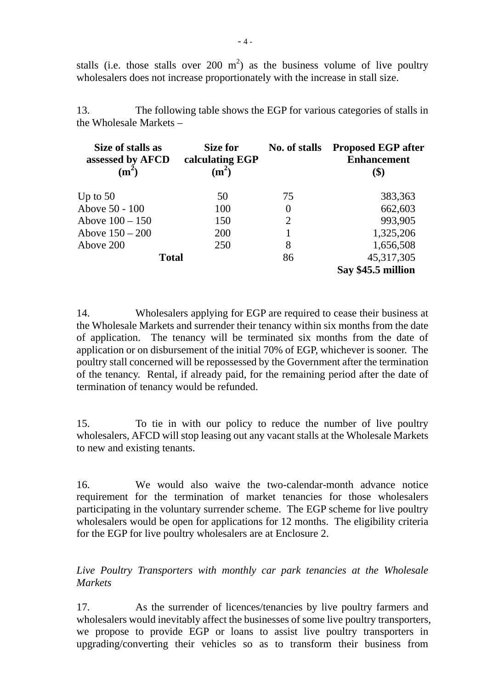stalls (i.e. those stalls over 200 m<sup>2</sup>) as the business volume of live poultry wholesalers does not increase proportionately with the increase in stall size.

13. The following table shows the EGP for various categories of stalls in the Wholesale Markets –

| Size of stalls as<br>assessed by AFCD<br>$(m^2)$ | Size for<br>calculating EGP<br>(m <sup>2</sup> ) | No. of stalls | <b>Proposed EGP after</b><br><b>Enhancement</b><br>\$) |
|--------------------------------------------------|--------------------------------------------------|---------------|--------------------------------------------------------|
| Up to $50$                                       | 50                                               | 75            | 383,363                                                |
| Above 50 - 100                                   | 100                                              | $\theta$      | 662,603                                                |
| Above $100 - 150$                                | 150                                              | 2             | 993,905                                                |
| Above $150 - 200$                                | 200                                              |               | 1,325,206                                              |
| Above 200                                        | 250                                              | 8             | 1,656,508                                              |
| <b>Total</b>                                     |                                                  | 86            | 45, 317, 305<br>Say \$45.5 million                     |

14. Wholesalers applying for EGP are required to cease their business at the Wholesale Markets and surrender their tenancy within six months from the date of application. The tenancy will be terminated six months from the date of application or on disbursement of the initial 70% of EGP, whichever is sooner. The poultry stall concerned will be repossessed by the Government after the termination of the tenancy. Rental, if already paid, for the remaining period after the date of termination of tenancy would be refunded.

15. To tie in with our policy to reduce the number of live poultry wholesalers, AFCD will stop leasing out any vacant stalls at the Wholesale Markets to new and existing tenants.

16. We would also waive the two-calendar-month advance notice requirement for the termination of market tenancies for those wholesalers participating in the voluntary surrender scheme. The EGP scheme for live poultry wholesalers would be open for applications for 12 months. The eligibility criteria for the EGP for live poultry wholesalers are at Enclosure 2.

*Live Poultry Transporters with monthly car park tenancies at the Wholesale Markets* 

17. As the surrender of licences/tenancies by live poultry farmers and wholesalers would inevitably affect the businesses of some live poultry transporters, we propose to provide EGP or loans to assist live poultry transporters in upgrading/converting their vehicles so as to transform their business from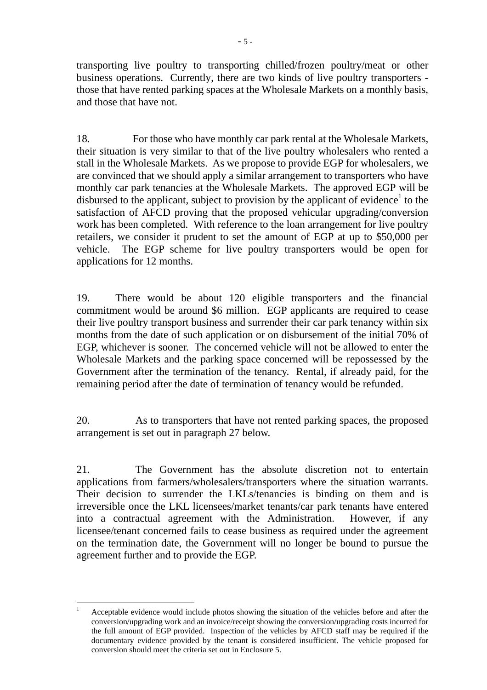transporting live poultry to transporting chilled/frozen poultry/meat or other business operations. Currently, there are two kinds of live poultry transporters those that have rented parking spaces at the Wholesale Markets on a monthly basis, and those that have not.

18. For those who have monthly car park rental at the Wholesale Markets, their situation is very similar to that of the live poultry wholesalers who rented a stall in the Wholesale Markets. As we propose to provide EGP for wholesalers, we are convinced that we should apply a similar arrangement to transporters who have monthly car park tenancies at the Wholesale Markets. The approved EGP will be disbursed to the applicant, subject to provision by the applicant of evidence<sup>1</sup> to the satisfaction of AFCD proving that the proposed vehicular upgrading/conversion work has been completed. With reference to the loan arrangement for live poultry retailers, we consider it prudent to set the amount of EGP at up to \$50,000 per vehicle. The EGP scheme for live poultry transporters would be open for applications for 12 months.

19. There would be about 120 eligible transporters and the financial commitment would be around \$6 million. EGP applicants are required to cease their live poultry transport business and surrender their car park tenancy within six months from the date of such application or on disbursement of the initial 70% of EGP, whichever is sooner. The concerned vehicle will not be allowed to enter the Wholesale Markets and the parking space concerned will be repossessed by the Government after the termination of the tenancy. Rental, if already paid, for the remaining period after the date of termination of tenancy would be refunded.

20. As to transporters that have not rented parking spaces, the proposed arrangement is set out in paragraph 27 below.

21. The Government has the absolute discretion not to entertain applications from farmers/wholesalers/transporters where the situation warrants. Their decision to surrender the LKLs/tenancies is binding on them and is irreversible once the LKL licensees/market tenants/car park tenants have entered into a contractual agreement with the Administration. However, if any licensee/tenant concerned fails to cease business as required under the agreement on the termination date, the Government will no longer be bound to pursue the agreement further and to provide the EGP.

 $\overline{a}$ 

<sup>1</sup> Acceptable evidence would include photos showing the situation of the vehicles before and after the conversion/upgrading work and an invoice/receipt showing the conversion/upgrading costs incurred for the full amount of EGP provided. Inspection of the vehicles by AFCD staff may be required if the documentary evidence provided by the tenant is considered insufficient. The vehicle proposed for conversion should meet the criteria set out in Enclosure 5.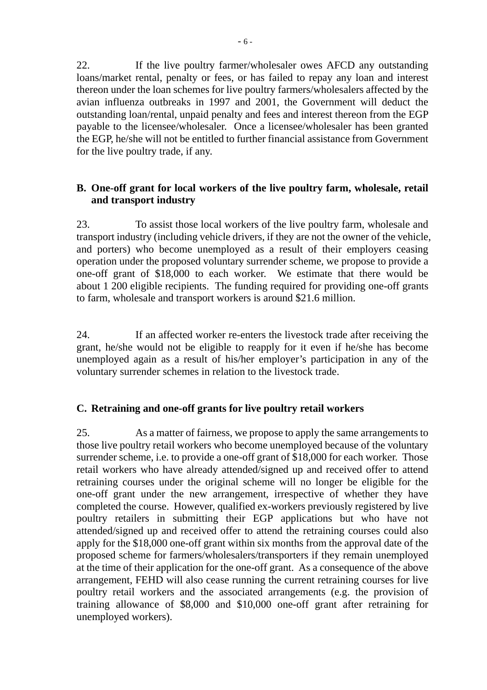22. If the live poultry farmer/wholesaler owes AFCD any outstanding loans/market rental, penalty or fees, or has failed to repay any loan and interest thereon under the loan schemes for live poultry farmers/wholesalers affected by the avian influenza outbreaks in 1997 and 2001, the Government will deduct the outstanding loan/rental, unpaid penalty and fees and interest thereon from the EGP payable to the licensee/wholesaler. Once a licensee/wholesaler has been granted the EGP, he/she will not be entitled to further financial assistance from Government for the live poultry trade, if any.

# **B. One-off grant for local workers of the live poultry farm, wholesale, retail and transport industry**

23. To assist those local workers of the live poultry farm, wholesale and transport industry (including vehicle drivers, if they are not the owner of the vehicle, and porters) who become unemployed as a result of their employers ceasing operation under the proposed voluntary surrender scheme, we propose to provide a one-off grant of \$18,000 to each worker. We estimate that there would be about 1 200 eligible recipients. The funding required for providing one-off grants to farm, wholesale and transport workers is around \$21.6 million.

24. If an affected worker re-enters the livestock trade after receiving the grant, he/she would not be eligible to reapply for it even if he/she has become unemployed again as a result of his/her employer's participation in any of the voluntary surrender schemes in relation to the livestock trade.

# **C. Retraining and one-off grants for live poultry retail workers**

25. As a matter of fairness, we propose to apply the same arrangements to those live poultry retail workers who become unemployed because of the voluntary surrender scheme, i.e. to provide a one-off grant of \$18,000 for each worker. Those retail workers who have already attended/signed up and received offer to attend retraining courses under the original scheme will no longer be eligible for the one-off grant under the new arrangement, irrespective of whether they have completed the course. However, qualified ex-workers previously registered by live poultry retailers in submitting their EGP applications but who have not attended/signed up and received offer to attend the retraining courses could also apply for the \$18,000 one-off grant within six months from the approval date of the proposed scheme for farmers/wholesalers/transporters if they remain unemployed at the time of their application for the one-off grant. As a consequence of the above arrangement, FEHD will also cease running the current retraining courses for live poultry retail workers and the associated arrangements (e.g. the provision of training allowance of \$8,000 and \$10,000 one-off grant after retraining for unemployed workers).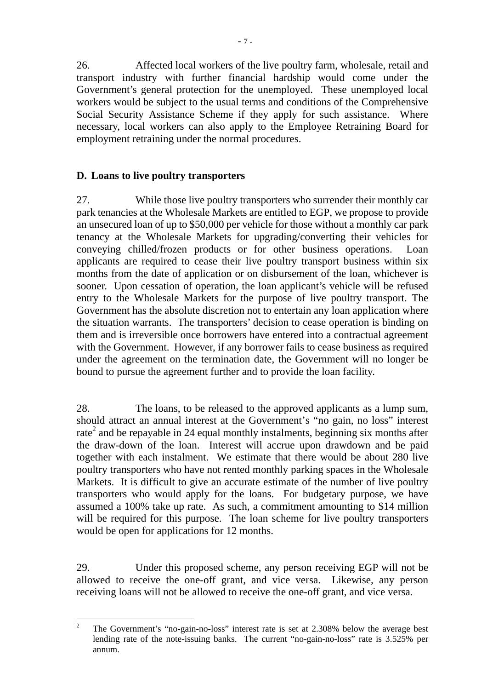26. Affected local workers of the live poultry farm, wholesale, retail and transport industry with further financial hardship would come under the Government's general protection for the unemployed. These unemployed local workers would be subject to the usual terms and conditions of the Comprehensive Social Security Assistance Scheme if they apply for such assistance. Where necessary, local workers can also apply to the Employee Retraining Board for employment retraining under the normal procedures.

# **D. Loans to live poultry transporters**

27. While those live poultry transporters who surrender their monthly car park tenancies at the Wholesale Markets are entitled to EGP, we propose to provide an unsecured loan of up to \$50,000 per vehicle for those without a monthly car park tenancy at the Wholesale Markets for upgrading/converting their vehicles for conveying chilled/frozen products or for other business operations. Loan applicants are required to cease their live poultry transport business within six months from the date of application or on disbursement of the loan, whichever is sooner. Upon cessation of operation, the loan applicant's vehicle will be refused entry to the Wholesale Markets for the purpose of live poultry transport. The Government has the absolute discretion not to entertain any loan application where the situation warrants. The transporters' decision to cease operation is binding on them and is irreversible once borrowers have entered into a contractual agreement with the Government. However, if any borrower fails to cease business as required under the agreement on the termination date, the Government will no longer be bound to pursue the agreement further and to provide the loan facility.

28. The loans, to be released to the approved applicants as a lump sum, should attract an annual interest at the Government's "no gain, no loss" interest rate<sup>2</sup> and be repayable in 24 equal monthly instalments, beginning six months after the draw-down of the loan. Interest will accrue upon drawdown and be paid together with each instalment. We estimate that there would be about 280 live poultry transporters who have not rented monthly parking spaces in the Wholesale Markets. It is difficult to give an accurate estimate of the number of live poultry transporters who would apply for the loans. For budgetary purpose, we have assumed a 100% take up rate. As such, a commitment amounting to \$14 million will be required for this purpose. The loan scheme for live poultry transporters would be open for applications for 12 months.

29. Under this proposed scheme, any person receiving EGP will not be allowed to receive the one-off grant, and vice versa. Likewise, any person receiving loans will not be allowed to receive the one-off grant, and vice versa.

 $\overline{2}$ <sup>2</sup> The Government's "no-gain-no-loss" interest rate is set at 2.308% below the average best lending rate of the note-issuing banks. The current "no-gain-no-loss" rate is 3.525% per annum.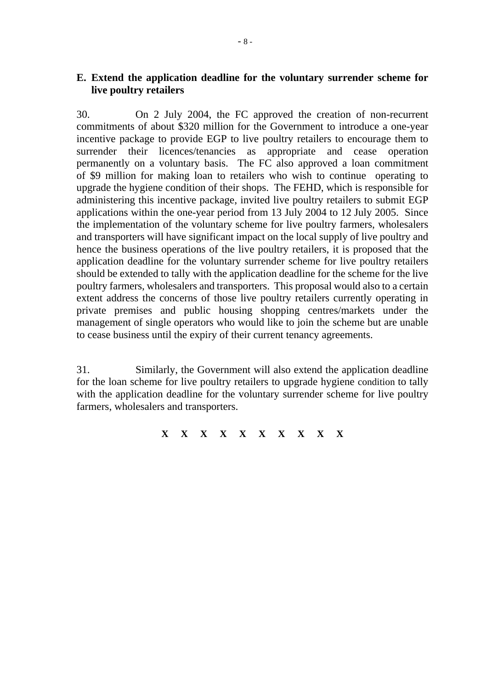## **E. Extend the application deadline for the voluntary surrender scheme for live poultry retailers**

30. On 2 July 2004, the FC approved the creation of non-recurrent commitments of about \$320 million for the Government to introduce a one-year incentive package to provide EGP to live poultry retailers to encourage them to surrender their licences/tenancies as appropriate and cease operation permanently on a voluntary basis. The FC also approved a loan commitment of \$9 million for making loan to retailers who wish to continue operating to upgrade the hygiene condition of their shops. The FEHD, which is responsible for administering this incentive package, invited live poultry retailers to submit EGP applications within the one-year period from 13 July 2004 to 12 July 2005. Since the implementation of the voluntary scheme for live poultry farmers, wholesalers and transporters will have significant impact on the local supply of live poultry and hence the business operations of the live poultry retailers, it is proposed that the application deadline for the voluntary surrender scheme for live poultry retailers should be extended to tally with the application deadline for the scheme for the live poultry farmers, wholesalers and transporters. This proposal would also to a certain extent address the concerns of those live poultry retailers currently operating in private premises and public housing shopping centres/markets under the management of single operators who would like to join the scheme but are unable to cease business until the expiry of their current tenancy agreements.

31. Similarly, the Government will also extend the application deadline for the loan scheme for live poultry retailers to upgrade hygiene condition to tally with the application deadline for the voluntary surrender scheme for live poultry farmers, wholesalers and transporters.

**X X X X X X X X X X**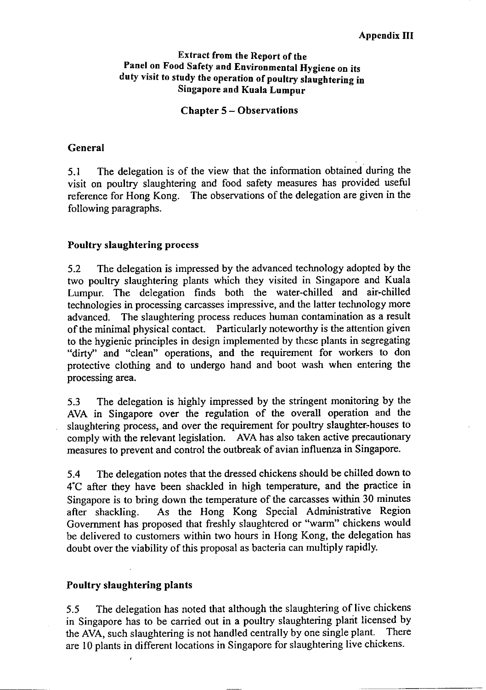### **Extract from the Report of the** Panel on Food Safety and Environmental Hygiene on its duty visit to study the operation of poultry slaughtering in **Singapore and Kuala Lumpur**

#### **Chapter 5 - Observations**

#### General

The delegation is of the view that the information obtained during the  $5.1$ visit on poultry slaughtering and food safety measures has provided useful reference for Hong Kong. The observations of the delegation are given in the following paragraphs.

#### **Poultry slaughtering process**

The delegation is impressed by the advanced technology adopted by the  $5.2$ two poultry slaughtering plants which they visited in Singapore and Kuala Lumpur. The delegation finds both the water-chilled and air-chilled technologies in processing carcasses impressive, and the latter technology more The slaughtering process reduces human contamination as a result advanced. of the minimal physical contact. Particularly noteworthy is the attention given to the hygienic principles in design implemented by these plants in segregating "dirty" and "clean" operations, and the requirement for workers to don protective clothing and to undergo hand and boot wash when entering the processing area.

The delegation is highly impressed by the stringent monitoring by the 5.3 AVA in Singapore over the regulation of the overall operation and the slaughtering process, and over the requirement for poultry slaughter-houses to comply with the relevant legislation. AVA has also taken active precautionary measures to prevent and control the outbreak of avian influenza in Singapore.

The delegation notes that the dressed chickens should be chilled down to  $5.4$ 4°C after they have been shackled in high temperature, and the practice in Singapore is to bring down the temperature of the carcasses within 30 minutes As the Hong Kong Special Administrative Region after shackling. Government has proposed that freshly slaughtered or "warm" chickens would be delivered to customers within two hours in Hong Kong, the delegation has doubt over the viability of this proposal as bacteria can multiply rapidly.

### Poultry slaughtering plants

The delegation has noted that although the slaughtering of live chickens  $5.5$ in Singapore has to be carried out in a poultry slaughtering plant licensed by the AVA, such slaughtering is not handled centrally by one single plant. There are 10 plants in different locations in Singapore for slaughtering live chickens.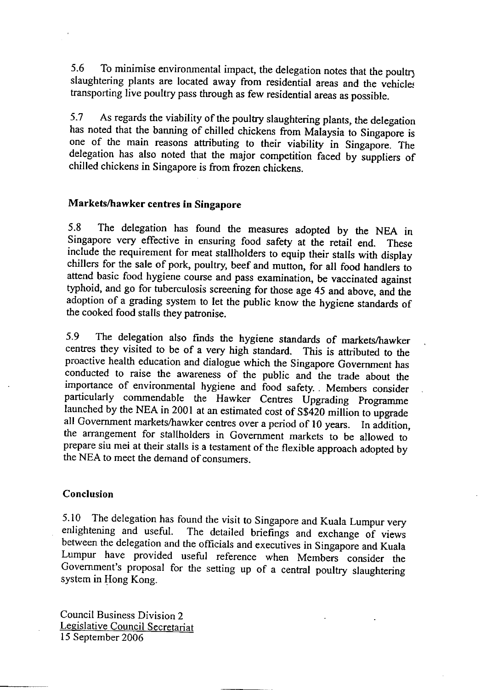To minimise environmental impact, the delegation notes that the poultry 5.6 slaughtering plants are located away from residential areas and the vehicles transporting live poultry pass through as few residential areas as possible.

As regards the viability of the poultry slaughtering plants, the delegation 5.7 has noted that the banning of chilled chickens from Malaysia to Singapore is one of the main reasons attributing to their viability in Singapore. The delegation has also noted that the major competition faced by suppliers of chilled chickens in Singapore is from frozen chickens.

# Markets/hawker centres in Singapore

The delegation has found the measures adopted by the NEA in 5.8 Singapore very effective in ensuring food safety at the retail end. These include the requirement for meat stallholders to equip their stalls with display chillers for the sale of pork, poultry, beef and mutton, for all food handlers to attend basic food hygiene course and pass examination, be vaccinated against typhoid, and go for tuberculosis screening for those age 45 and above, and the adoption of a grading system to let the public know the hygiene standards of the cooked food stalls they patronise.

The delegation also finds the hygiene standards of markets/hawker 5.9 centres they visited to be of a very high standard. This is attributed to the proactive health education and dialogue which the Singapore Government has conducted to raise the awareness of the public and the trade about the importance of environmental hygiene and food safety. Members consider particularly commendable the Hawker Centres Upgrading Programme launched by the NEA in 2001 at an estimated cost of S\$420 million to upgrade all Government markets/hawker centres over a period of 10 years. In addition, the arrangement for stallholders in Government markets to be allowed to prepare siu mei at their stalls is a testament of the flexible approach adopted by the NEA to meet the demand of consumers.

### Conclusion

5.10 The delegation has found the visit to Singapore and Kuala Lumpur very The detailed briefings and exchange of views enlightening and useful. between the delegation and the officials and executives in Singapore and Kuala Lumpur have provided useful reference when Members consider the Government's proposal for the setting up of a central poultry slaughtering system in Hong Kong.

**Council Business Division 2** Legislative Council Secretariat 15 September 2006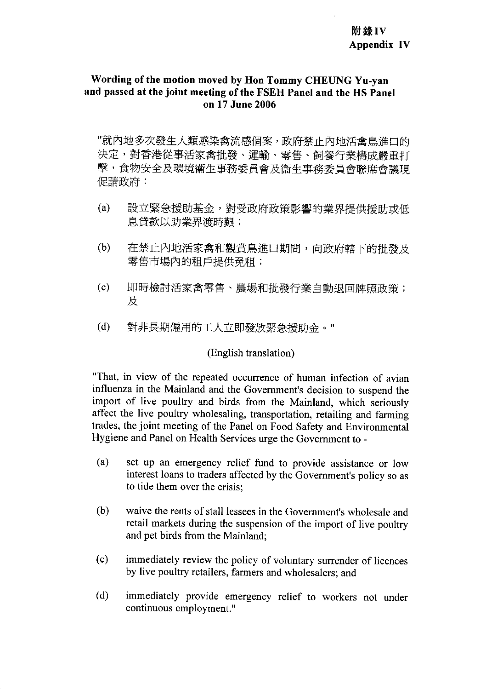## Wording of the motion moved by Hon Tommy CHEUNG Yu-van and passed at the joint meeting of the FSEH Panel and the HS Panel on 17 June 2006

"就內地多次發生人類感染禽流感個案,政府禁止內地活禽鳥進口的 決定,對香港從事活家禽批發、運輸、零售、飼養行業構成嚴重打 擊,食物安全及環境衞生事務委員會及衞生事務委員會聯席會議現 促請政府:

- $(a)$ 設立緊急援助基金,對受政府政策影響的業界提供榜助或低 息貸款以助業界渡時艱;
- $(b)$ 在禁止內地活家禽和觀賞鳥進口期間,向政府轄下的批發及 零售市場內的租戶提供孕租;
- $(c)$ 即時檢討活家禽零售、農場和批發行業自動退回牌照政策; 及
- $(d)$ 對非長期僱用的工人立即發放緊急援助金。"

# (English translation)

"That, in view of the repeated occurrence of human infection of avian influenza in the Mainland and the Government's decision to suspend the import of live poultry and birds from the Mainland, which seriously affect the live poultry wholesaling, transportation, retailing and farming trades, the joint meeting of the Panel on Food Safety and Environmental Hygiene and Panel on Health Services urge the Government to -

- $(a)$ set up an emergency relief fund to provide assistance or low interest loans to traders affected by the Government's policy so as to tide them over the crisis:
- waive the rents of stall lessees in the Government's wholesale and  $(b)$ retail markets during the suspension of the import of live poultry and pet birds from the Mainland:
- $(c)$ immediately review the policy of voluntary surrender of licences by live poultry retailers, farmers and wholesalers; and
- $(d)$ immediately provide emergency relief to workers not under continuous employment."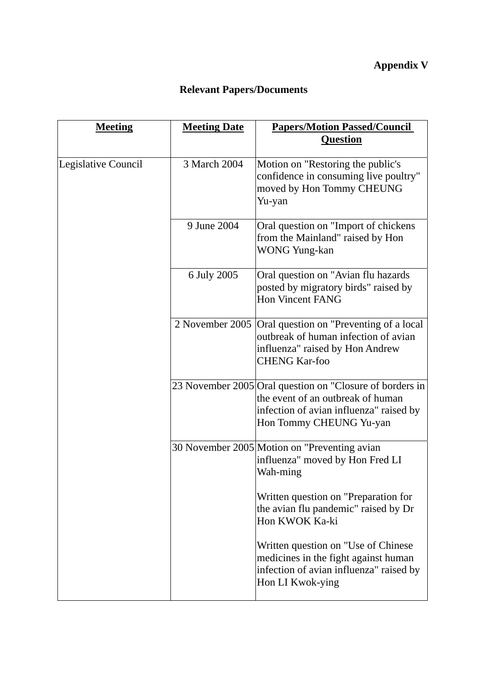# **Appendix V**

# **Relevant Papers/Documents**

| <b>Meeting</b>      | <b>Meeting Date</b> | <b>Papers/Motion Passed/Council</b><br><b>Question</b>                                                                                                              |
|---------------------|---------------------|---------------------------------------------------------------------------------------------------------------------------------------------------------------------|
| Legislative Council | 3 March 2004        | Motion on "Restoring the public's<br>confidence in consuming live poultry"<br>moved by Hon Tommy CHEUNG<br>Yu-yan                                                   |
|                     | 9 June 2004         | Oral question on "Import of chickens"<br>from the Mainland" raised by Hon<br><b>WONG Yung-kan</b>                                                                   |
|                     | 6 July 2005         | Oral question on "Avian flu hazards<br>posted by migratory birds" raised by<br><b>Hon Vincent FANG</b>                                                              |
|                     | 2 November 2005     | Oral question on "Preventing of a local<br>outbreak of human infection of avian<br>influenza" raised by Hon Andrew<br><b>CHENG Kar-foo</b>                          |
|                     |                     | 23 November 2005 Oral question on "Closure of borders in<br>the event of an outbreak of human<br>infection of avian influenza" raised by<br>Hon Tommy CHEUNG Yu-yan |
|                     |                     | 30 November 2005 Motion on "Preventing avian<br>influenza" moved by Hon Fred LI<br>Wah-ming                                                                         |
|                     |                     | Written question on "Preparation for<br>the avian flu pandemic" raised by Dr<br>Hon KWOK Ka-ki                                                                      |
|                     |                     | Written question on "Use of Chinese"<br>medicines in the fight against human<br>infection of avian influenza" raised by<br>Hon LI Kwok-ying                         |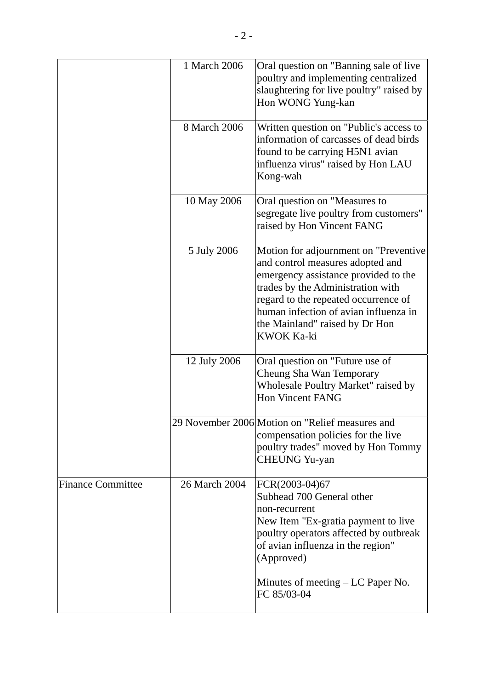|                          | 1 March 2006  | Oral question on "Banning sale of live<br>poultry and implementing centralized<br>slaughtering for live poultry" raised by<br>Hon WONG Yung-kan                                                                                                                                                |
|--------------------------|---------------|------------------------------------------------------------------------------------------------------------------------------------------------------------------------------------------------------------------------------------------------------------------------------------------------|
|                          | 8 March 2006  | Written question on "Public's access to<br>information of carcasses of dead birds<br>found to be carrying H5N1 avian<br>influenza virus" raised by Hon LAU<br>Kong-wah                                                                                                                         |
|                          | 10 May 2006   | Oral question on "Measures to<br>segregate live poultry from customers"<br>raised by Hon Vincent FANG                                                                                                                                                                                          |
|                          | 5 July 2006   | Motion for adjournment on "Preventive<br>and control measures adopted and<br>emergency assistance provided to the<br>trades by the Administration with<br>regard to the repeated occurrence of<br>human infection of avian influenza in<br>the Mainland" raised by Dr Hon<br><b>KWOK Ka-ki</b> |
|                          | 12 July 2006  | Oral question on "Future use of<br>Cheung Sha Wan Temporary<br>Wholesale Poultry Market" raised by<br><b>Hon Vincent FANG</b>                                                                                                                                                                  |
|                          |               | 29 November 2006 Motion on "Relief measures and<br>compensation policies for the live<br>poultry trades" moved by Hon Tommy<br><b>CHEUNG Yu-yan</b>                                                                                                                                            |
| <b>Finance Committee</b> | 26 March 2004 | FCR(2003-04)67<br>Subhead 700 General other<br>non-recurrent<br>New Item "Ex-gratia payment to live<br>poultry operators affected by outbreak<br>of avian influenza in the region"<br>(Approved)                                                                                               |
|                          |               | Minutes of meeting $- LC$ Paper No.<br>FC 85/03-04                                                                                                                                                                                                                                             |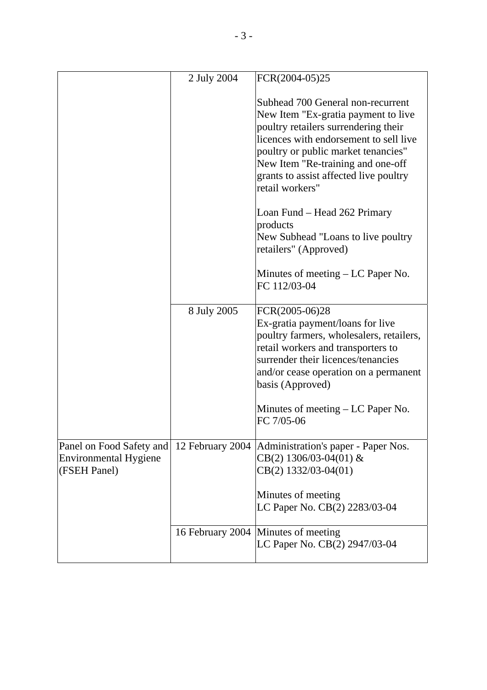|                                                                          | 2 July 2004 | FCR(2004-05)25                                                                                                                                                                                                                                                                                      |
|--------------------------------------------------------------------------|-------------|-----------------------------------------------------------------------------------------------------------------------------------------------------------------------------------------------------------------------------------------------------------------------------------------------------|
|                                                                          |             | Subhead 700 General non-recurrent<br>New Item "Ex-gratia payment to live<br>poultry retailers surrendering their<br>licences with endorsement to sell live<br>poultry or public market tenancies"<br>New Item "Re-training and one-off<br>grants to assist affected live poultry<br>retail workers" |
|                                                                          |             | Loan Fund – Head 262 Primary<br>products<br>New Subhead "Loans to live poultry<br>retailers" (Approved)                                                                                                                                                                                             |
|                                                                          |             | Minutes of meeting $- LC$ Paper No.<br>FC 112/03-04                                                                                                                                                                                                                                                 |
|                                                                          | 8 July 2005 | FCR(2005-06)28<br>Ex-gratia payment/loans for live<br>poultry farmers, wholesalers, retailers,<br>retail workers and transporters to<br>surrender their licences/tenancies<br>and/or cease operation on a permanent<br>basis (Approved)                                                             |
|                                                                          |             | Minutes of meeting $- LC$ Paper No.<br>FC 7/05-06                                                                                                                                                                                                                                                   |
| Panel on Food Safety and<br><b>Environmental Hygiene</b><br>(FSEH Panel) |             | 12 February 2004   Administration's paper - Paper Nos.<br>$CB(2)$ 1306/03-04(01) &<br>CB(2) 1332/03-04(01)                                                                                                                                                                                          |
|                                                                          |             | Minutes of meeting<br>LC Paper No. CB(2) 2283/03-04                                                                                                                                                                                                                                                 |
|                                                                          |             | 16 February 2004 Minutes of meeting<br>LC Paper No. CB(2) 2947/03-04                                                                                                                                                                                                                                |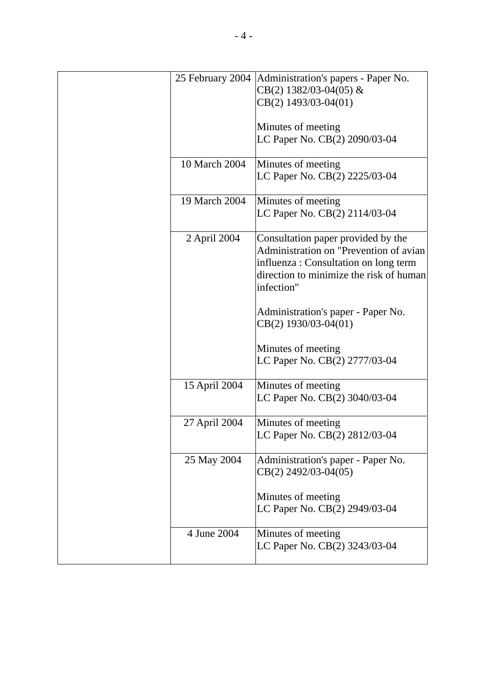| 25 February 2004 | Administration's papers - Paper No.<br>$CB(2)$ 1382/03-04(05) &<br>CB(2) 1493/03-04(01)                                                                                        |
|------------------|--------------------------------------------------------------------------------------------------------------------------------------------------------------------------------|
|                  | Minutes of meeting<br>LC Paper No. CB(2) 2090/03-04                                                                                                                            |
| 10 March 2004    | Minutes of meeting<br>LC Paper No. CB(2) 2225/03-04                                                                                                                            |
| 19 March 2004    | Minutes of meeting<br>LC Paper No. CB(2) 2114/03-04                                                                                                                            |
| 2 April 2004     | Consultation paper provided by the<br>Administration on "Prevention of avian<br>influenza : Consultation on long term<br>direction to minimize the risk of human<br>infection" |
|                  | Administration's paper - Paper No.<br>CB(2) 1930/03-04(01)                                                                                                                     |
|                  | Minutes of meeting<br>LC Paper No. CB(2) 2777/03-04                                                                                                                            |
| 15 April 2004    | Minutes of meeting<br>LC Paper No. CB(2) 3040/03-04                                                                                                                            |
| 27 April 2004    | Minutes of meeting<br>LC Paper No. CB(2) 2812/03-04                                                                                                                            |
| 25 May 2004      | Administration's paper - Paper No.<br>$CB(2)$ 2492/03-04(05)                                                                                                                   |
|                  | Minutes of meeting<br>LC Paper No. CB(2) 2949/03-04                                                                                                                            |
| 4 June 2004      | Minutes of meeting<br>LC Paper No. CB(2) 3243/03-04                                                                                                                            |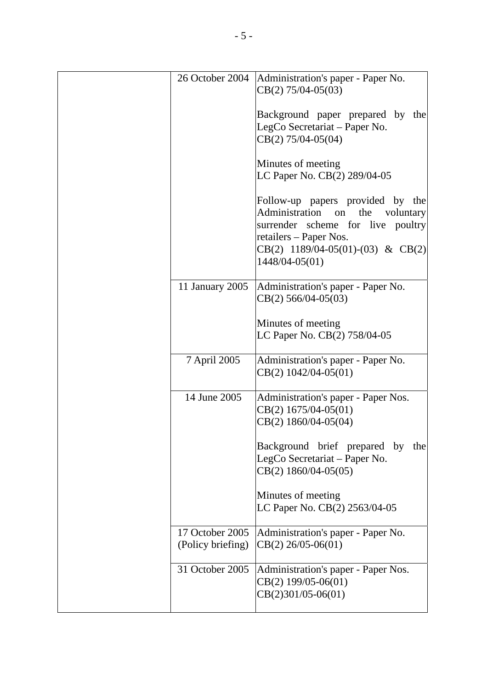| 26 October 2004                      | Administration's paper - Paper No.<br>$CB(2) 75/04-05(03)$                                                                                                                                           |
|--------------------------------------|------------------------------------------------------------------------------------------------------------------------------------------------------------------------------------------------------|
|                                      | Background paper prepared by the<br>LegCo Secretariat - Paper No.<br>$CB(2)$ 75/04-05(04)                                                                                                            |
|                                      | Minutes of meeting<br>LC Paper No. CB(2) 289/04-05                                                                                                                                                   |
|                                      | Follow-up papers provided by the<br>Administration<br>on<br>the<br>voluntary<br>surrender scheme for live poultry<br>retailers - Paper Nos.<br>$CB(2)$ 1189/04-05(01)-(03) & CB(2)<br>1448/04-05(01) |
| 11 January 2005                      | Administration's paper - Paper No.<br>$CB(2)$ 566/04-05(03)                                                                                                                                          |
|                                      | Minutes of meeting<br>LC Paper No. CB(2) 758/04-05                                                                                                                                                   |
| 7 April 2005                         | Administration's paper - Paper No.<br>$CB(2)$ 1042/04-05(01)                                                                                                                                         |
| 14 June 2005                         | Administration's paper - Paper Nos.<br>$CB(2)$ 1675/04-05(01)<br>CB(2) 1860/04-05(04)                                                                                                                |
|                                      | Background brief prepared by the<br>LegCo Secretariat - Paper No.<br>$CB(2)$ 1860/04-05(05)                                                                                                          |
|                                      | Minutes of meeting<br>LC Paper No. CB(2) 2563/04-05                                                                                                                                                  |
| 17 October 2005<br>(Policy briefing) | Administration's paper - Paper No.<br>$CB(2)$ 26/05-06(01)                                                                                                                                           |
| 31 October 2005                      | Administration's paper - Paper Nos.<br>$CB(2)$ 199/05-06(01)<br>$CB(2)301/05-06(01)$                                                                                                                 |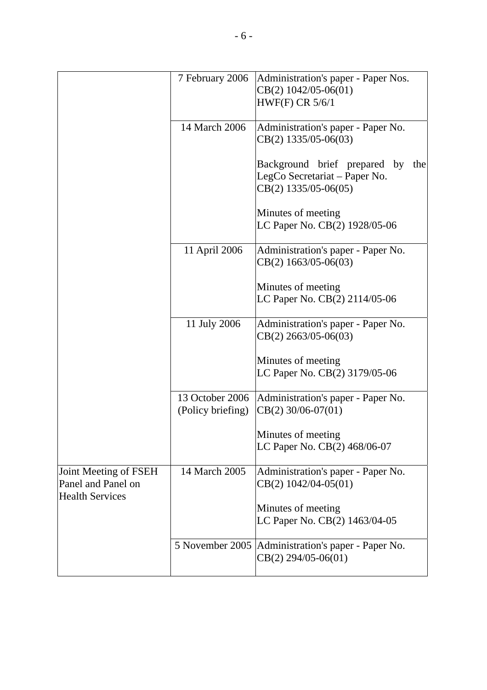|                                                                       | 7 February 2006                      | Administration's paper - Paper Nos.<br>$CB(2)$ 1042/05-06(01)<br><b>HWF(F) CR 5/6/1</b>        |
|-----------------------------------------------------------------------|--------------------------------------|------------------------------------------------------------------------------------------------|
|                                                                       | 14 March 2006                        | Administration's paper - Paper No.<br>$CB(2)$ 1335/05-06(03)                                   |
|                                                                       |                                      | Background brief prepared by<br>the<br>LegCo Secretariat – Paper No.<br>$CB(2)$ 1335/05-06(05) |
|                                                                       |                                      | Minutes of meeting<br>LC Paper No. CB(2) 1928/05-06                                            |
|                                                                       | 11 April 2006                        | Administration's paper - Paper No.<br>$CB(2)$ 1663/05-06(03)                                   |
|                                                                       |                                      | Minutes of meeting<br>LC Paper No. CB(2) 2114/05-06                                            |
|                                                                       | 11 July 2006                         | Administration's paper - Paper No.<br>$CB(2)$ 2663/05-06(03)                                   |
|                                                                       |                                      | Minutes of meeting<br>LC Paper No. CB(2) 3179/05-06                                            |
|                                                                       | 13 October 2006<br>(Policy briefing) | Administration's paper - Paper No.<br>$CB(2)$ 30/06-07(01)                                     |
|                                                                       |                                      | Minutes of meeting<br>LC Paper No. CB(2) 468/06-07                                             |
| Joint Meeting of FSEH<br>Panel and Panel on<br><b>Health Services</b> | 14 March 2005                        | Administration's paper - Paper No.<br>CB(2) 1042/04-05(01)                                     |
|                                                                       |                                      | Minutes of meeting<br>LC Paper No. CB(2) 1463/04-05                                            |
|                                                                       |                                      | 5 November 2005   Administration's paper - Paper No.<br>$CB(2)$ 294/05-06(01)                  |